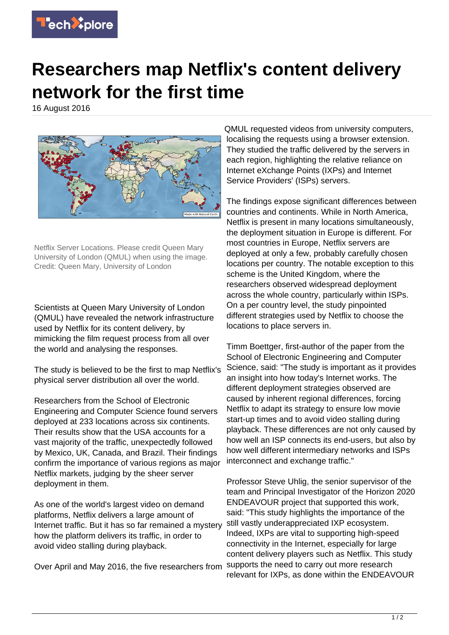

## **Researchers map Netflix's content delivery network for the first time**

16 August 2016



Netflix Server Locations. Please credit Queen Mary University of London (QMUL) when using the image. Credit: Queen Mary, University of London

Scientists at Queen Mary University of London (QMUL) have revealed the network infrastructure used by Netflix for its content delivery, by mimicking the film request process from all over the world and analysing the responses.

The study is believed to be the first to map Netflix's physical server distribution all over the world.

Researchers from the School of Electronic Engineering and Computer Science found servers deployed at 233 locations across six continents. Their results show that the USA accounts for a vast majority of the traffic, unexpectedly followed by Mexico, UK, Canada, and Brazil. Their findings confirm the importance of various regions as major Netflix markets, judging by the sheer server deployment in them.

As one of the world's largest video on demand platforms, Netflix delivers a large amount of Internet traffic. But it has so far remained a mystery how the platform delivers its traffic, in order to avoid video stalling during playback.

Over April and May 2016, the five researchers from

QMUL requested videos from university computers, localising the requests using a browser extension. They studied the traffic delivered by the servers in each region, highlighting the relative reliance on Internet eXchange Points (IXPs) and Internet Service Providers' (ISPs) servers.

The findings expose significant differences between countries and continents. While in North America, Netflix is present in many locations simultaneously, the deployment situation in Europe is different. For most countries in Europe, Netflix servers are deployed at only a few, probably carefully chosen locations per country. The notable exception to this scheme is the United Kingdom, where the researchers observed widespread deployment across the whole country, particularly within ISPs. On a per country level, the study pinpointed different strategies used by Netflix to choose the locations to place servers in.

Timm Boettger, first-author of the paper from the School of Electronic Engineering and Computer Science, said: "The study is important as it provides an insight into how today's Internet works. The different deployment strategies observed are caused by inherent regional differences, forcing Netflix to adapt its strategy to ensure low movie start-up times and to avoid video stalling during playback. These differences are not only caused by how well an ISP connects its end-users, but also by how well different intermediary networks and ISPs interconnect and exchange traffic."

Professor Steve Uhlig, the senior supervisor of the team and Principal Investigator of the Horizon 2020 ENDEAVOUR project that supported this work, said: "This study highlights the importance of the still vastly underappreciated IXP ecosystem. Indeed, IXPs are vital to supporting high-speed connectivity in the Internet, especially for large content delivery players such as Netflix. This study supports the need to carry out more research relevant for IXPs, as done within the ENDEAVOUR